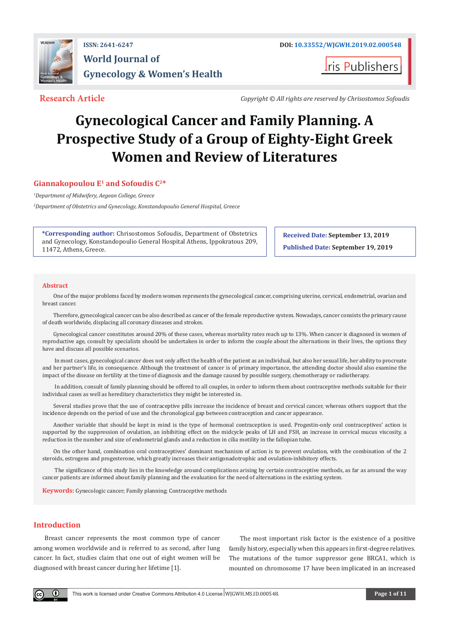

ris Publishers

**Research Article** *Copyright © All rights are reserved by Chrisostomos Sofoudis*

# **Gynecological Cancer and Family Planning. A Prospective Study of a Group of Eighty-Eight Greek Women and Review of Literatures**

# **Giannakopoulou E1 and Sofoudis C2\***

*1 Department of Midwifery, Aegean College, Greece*

*2 Department of Obstetrics and Gynecology, Konstandopoulio General Hospital, Greece* 

**\*Corresponding author:** Chrisostomos Sofoudis, Department of Obstetrics and Gynecology, Konstandopoulio General Hospital Athens, Ippokratous 209, 11472, Athens, Greece.

**Received Date: September 13, 2019 Published Date: September 19, 2019**

#### **Abstract**

One of the major problems faced by modern women represents the gynecological cancer, comprising uterine, cervical, endometrial, ovarian and breast cancer.

Therefore, gynecological cancer can be also described as cancer of the female reproductive system. Nowadays, cancer consists the primary cause of death worldwide, displacing all coronary diseases and strokes.

Gynecological cancer constitutes around 20% of these cases, whereas mortality rates reach up to 13%. When cancer is diagnosed in women of reproductive age, consult by specialists should be undertaken in order to inform the couple about the alternations in their lives, the options they have and discuss all possible scenarios.

 In most cases, gynecological cancer does not only affect the health of the patient as an individual, but also her sexual life, her ability to procreate and her partner's life, in consequence. Although the treatment of cancer is of primary importance, the attending doctor should also examine the impact of the disease on fertility at the time of diagnosis and the damage caused by possible surgery, chemotherapy or radiotherapy.

 In addition, consult of family planning should be offered to all couples, in order to inform them about contraceptive methods suitable for their individual cases as well as hereditary characteristics they might be interested in.

Several studies prove that the use of contraceptive pills increase the incidence of breast and cervical cancer, whereas others support that the incidence depends on the period of use and the chronological gap between contraception and cancer appearance.

Another variable that should be kept in mind is the type of hormonal contraception is used. Progestin-only oral contraceptives' action is supported by the suppression of ovulation, an inhibiting effect on the midcycle peaks of LH and FSH, an increase in cervical mucus viscosity, a reduction in the number and size of endometrial glands and a reduction in cilia motility in the fallopian tube.

On the other hand, combination oral contraceptives' dominant mechanism of action is to prevent ovulation, with the combination of the 2 steroids, estrogens and progesterone, which greatly increases their antigonadotrophic and ovulation-inhibitory effects.

 The significance of this study lies in the knowledge around complications arising by certain contraceptive methods, as far as around the way cancer patients are informed about family planning and the evaluation for the need of alternations in the existing system.

**Keywords:** Gynecologic cancer; Family planning; Contraceptive methods

# **Introduction**

 $\left( \mathbf{r} \right)$ 

Breast cancer represents the most common type of cancer among women worldwide and is referred to as second, after lung cancer. In fact, studies claim that one out of eight women will be diagnosed with breast cancer during her lifetime [1].

The most important risk factor is the existence of a positive family history, especially when this appears in first-degree relatives. The mutations of the tumor suppressor gene BRCA1, which is mounted on chromosome 17 have been implicated in an increased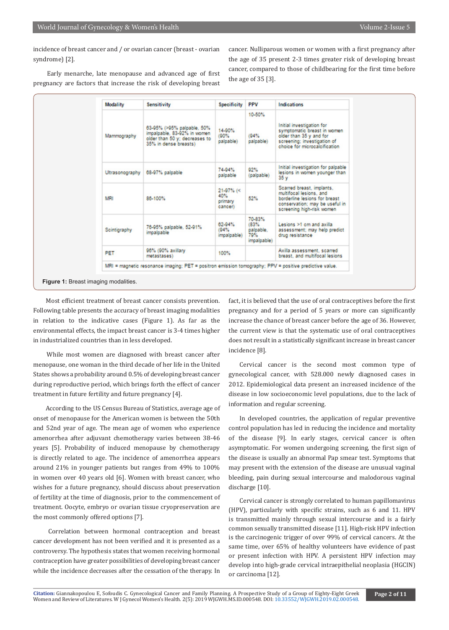incidence of breast cancer and / or ovarian cancer (breast - ovarian syndrome) [2].

 Early menarche, late menopause and advanced age of first pregnancy are factors that increase the risk of developing breast cancer. Nulliparous women or women with a first pregnancy after the age of 35 present 2-3 times greater risk of developing breast cancer, compared to those of childbearing for the first time before the age of 35 [3].

| Modality     | <b>Sensitivity</b>                                                                                                  | <b>Specificity</b>                       | <b>PPV</b>                                        | <b>Indications</b>                                                                                                                                   |
|--------------|---------------------------------------------------------------------------------------------------------------------|------------------------------------------|---------------------------------------------------|------------------------------------------------------------------------------------------------------------------------------------------------------|
| Mammography  | 63-95% (>95% palpable, 50%<br>impalpable, 83-92% in women<br>older than 50 y; decreases to<br>35% in dense breasts) | 14-90%<br>(90%<br>palpable)              | 10-50%<br>(94%<br>palpable)                       | Initial investigation for<br>symptomatic breast in women<br>older than 35 y and for<br>screening; investigation of<br>choice for microcalcification  |
|              | Ultrasonography   68-97% palpable                                                                                   | 74-94%<br>palpable                       | 92%<br>(palpable)                                 | Initial investigation for palpable<br>lesions in women younger than<br>35y                                                                           |
| <b>MRI</b>   | 86-100%                                                                                                             | $21-97%$ (<<br>40%<br>primary<br>cancer) | 52%                                               | Scarred breast, implants,<br>multifocal lesions, and<br>borderline lesions for breast<br>conservation; may be useful in<br>screening high-risk women |
| Scintigraphy | 76-95% palpable, 52-91%<br>impalpable                                                                               | 62-94%<br>(94%<br>impalpable)            | 70-83%<br>(83%<br>palpable.<br>79%<br>impalpable) | Lesions >1 cm and axilla<br>assessment; may help predict<br>drug resistance                                                                          |
| PET          | 96% (90% axillary<br>metastases)                                                                                    | 100%                                     |                                                   | Axilla assessment, scarred<br>breast, and multifocal lesions.                                                                                        |
|              | MRI = magnetic resonance imaging; PET = positron emission tomography; PPV = positive predictive value.              |                                          |                                                   |                                                                                                                                                      |

 Most efficient treatment of breast cancer consists prevention. Following table presents the accuracy of breast imaging modalities in relation to the indicative cases (Figure 1). As far as the environmental effects, the impact breast cancer is 3-4 times higher in industrialized countries than in less developed.

 While most women are diagnosed with breast cancer after menopause, one woman in the third decade of her life in the United States shows a probability around 0.5% of developing breast cancer during reproductive period, which brings forth the effect of cancer treatment in future fertility and future pregnancy [4].

 According to the US Census Bureau of Statistics, average age of onset of menopause for the American women is between the 50th and 52nd year of age. The mean age of women who experience amenorrhea after adjuvant chemotherapy varies between 38-46 years [5]. Probability of induced menopause by chemotherapy is directly related to age. The incidence of amenorrhea appears around 21% in younger patients but ranges from 49% to 100% in women over 40 years old [6]. Women with breast cancer, who wishes for a future pregnancy, should discuss about preservation of fertility at the time of diagnosis, prior to the commencement of treatment. Oocyte, embryo or ovarian tissue cryopreservation are the most commonly offered options [7].

 Correlation between hormonal contraception and breast cancer development has not been verified and it is presented as a controversy. The hypothesis states that women receiving hormonal contraception have greater possibilities of developing breast cancer while the incidence decreases after the cessation of the therapy. In fact, it is believed that the use of oral contraceptives before the first pregnancy and for a period of 5 years or more can significantly increase the chance of breast cancer before the age of 36. However, the current view is that the systematic use of oral contraceptives does not result in a statistically significant increase in breast cancer incidence [8].

Cervical cancer is the second most common type of gynecological cancer, with 528.000 newly diagnosed cases in 2012. Epidemiological data present an increased incidence of the disease in low socioeconomic level populations, due to the lack of information and regular screening.

In developed countries, the application of regular preventive control population has led in reducing the incidence and mortality of the disease [9]. In early stages, cervical cancer is often asymptomatic. For women undergoing screening, the first sign of the disease is usually an abnormal Pap smear test. Symptoms that may present with the extension of the disease are unusual vaginal bleeding, pain during sexual intercourse and malodorous vaginal discharge [10].

Cervical cancer is strongly correlated to human papillomavirus (HPV), particularly with specific strains, such as 6 and 11. HPV is transmitted mainly through sexual intercourse and is a fairly common sexually transmitted disease [11]. High-risk HPV infection is the carcinogenic trigger of over 99% of cervical cancers. At the same time, over 65% of healthy volunteers have evidence of past or present infection with HPV. A persistent HPV infection may develop into high-grade cervical intraepithelial neoplasia (HGCIN) or carcinoma [12].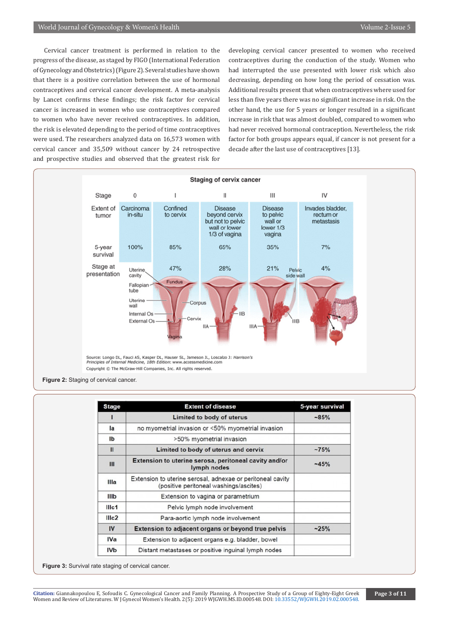Cervical cancer treatment is performed in relation to the progress of the disease, as staged by FIGO (International Federation of Gynecology and Obstetrics) (Figure 2). Several studies have shown that there is a positive correlation between the use of hormonal contraceptives and cervical cancer development. A meta-analysis by Lancet confirms these findings; the risk factor for cervical cancer is increased in women who use contraceptives compared to women who have never received contraceptives. In addition, the risk is elevated depending to the period of time contraceptives were used. The researchers analyzed data on 16,573 women with cervical cancer and 35,509 without cancer by 24 retrospective and prospective studies and observed that the greatest risk for

developing cervical cancer presented to women who received contraceptives during the conduction of the study. Women who had interrupted the use presented with lower risk which also decreasing, depending on how long the period of cessation was. Additional results present that when contraceptives where used for less than five years there was no significant increase in risk. On the other hand, the use for 5 years or longer resulted in a significant increase in risk that was almost doubled, compared to women who had never received hormonal contraception. Nevertheless, the risk factor for both groups appears equal, if cancer is not present for a decade after the last use of contraceptives [13].



| <b>Stage</b>      | <b>Extent of disease</b>                                                                             | 5-year survival<br>$-85%$ |  |
|-------------------|------------------------------------------------------------------------------------------------------|---------------------------|--|
| п                 | Limited to body of uterus                                                                            |                           |  |
| la                | no myometrial invasion or <50% myometrial invasion                                                   |                           |  |
| Ib                | >50% myometrial invasion                                                                             |                           |  |
| $\mathbf{II}$     | Limited to body of uterus and cervix                                                                 | $-75%$                    |  |
| Ш                 | Extension to uterine serosa, peritoneal cavity and/or<br>lymph nodes                                 | $-45%$                    |  |
| Illa              | Extension to uterine serosal, adnexae or peritoneal cavity<br>(positive peritoneal washings/ascites) |                           |  |
| IIIb              | Extension to vagina or parametrium                                                                   |                           |  |
| Illc1             | Pelvic lymph node involvement                                                                        |                           |  |
| III <sub>c2</sub> | Para-aortic lymph node involvement                                                                   |                           |  |
| IV                | <b>Extension to adjacent organs or beyond true pelvis</b>                                            | $-25%$                    |  |
| <b>IVa</b>        | Extension to adjacent organs e.g. bladder, bowel                                                     |                           |  |
| <b>IVb</b>        | Distant metastases or positive inguinal lymph nodes                                                  |                           |  |

**Figure 3:** Survival rate staging of cervical cancer.

**Citation:** Giannakopoulou E, Sofoudis C. Gynecological Cancer and Family Planning. A Prospective St[udy of a Group of Eighty-Eight Greek](http://dx.doi.org/10.33552/WJGWH.2019.02.000548) Women and Review of Literatures. W J Gynecol Women's Health. 2(5): 2019 WJGWH.MS.ID.000548. DOI: 10.33552/WJGWH.2019.02.000548.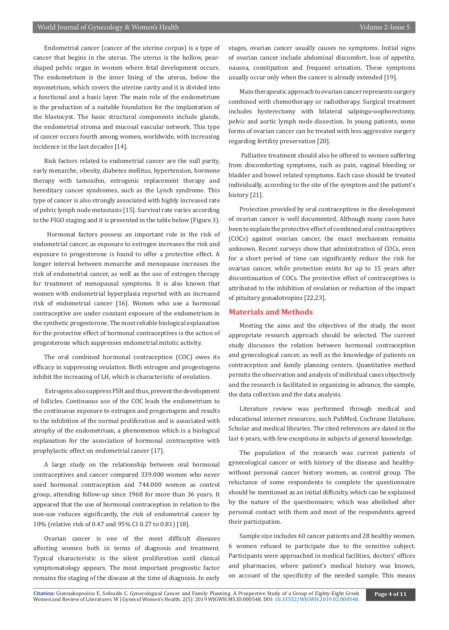Endometrial cancer (cancer of the uterine corpus) is a type of cancer that begins in the uterus. The uterus is the hollow, pearshaped pelvic organ in women where fetal development occurs. The endometrium is the inner lining of the uterus, below the myometrium, which covers the uterine cavity and it is divided into a functional and a basic layer. The main role of the endometrium is the production of a suitable foundation for the implantation of the blastocyst. The basic structural components include glands, the endometrial stroma and mucosal vascular network. This type of cancer occurs fourth among women, worldwide, with increasing incidence in the last decades [14].

Risk factors related to endometrial cancer are the null parity, early menarche, obesity, diabetes mellitus, hypertension, hormone therapy with tamoxifen, estrogenic replacement therapy and hereditary cancer syndromes, such as the Lynch syndrome. This type of cancer is also strongly associated with highly increased rate of pelvic lymph node metastasis [15]. Survival rate varies according to the FIGO staging and it is presented in the table below (Figure 3).

 Hormonal factors possess an important role in the risk of endometrial cancer, as exposure to estrogen increases the risk and exposure to progesterone is found to offer a protective effect. A longer interval between menarche and menopause increases the risk of endometrial cancer, as well as the use of estrogen therapy for treatment of menopausal symptoms. It is also known that women with endometrial hyperplasia reported with an increased risk of endometrial cancer [16]. Women who use a hormonal contraceptive are under constant exposure of the endometrium in the synthetic progesterone. The most reliable biological explanation for the protective effect of hormonal contraceptives is the action of progesterone which suppresses endometrial mitotic activity.

The oral combined hormonal contraception (COC) owes its efficacy in suppressing ovulation. Both estrogen and progestogens inhibit the increasing of LH, which is characteristic of ovulation.

 Estrogens also suppress FSH and thus, prevent the development of follicles. Continuous use of the COC leads the endometrium to the continuous exposure to estrogen and progestogens and results to the inhibition of the normal proliferation and is associated with atrophy of the endometrium, a phenomenon which is a biological explanation for the association of hormonal contraceptive with prophylactic effect on endometrial cancer [17].

A large study on the relationship between oral hormonal contraceptives and cancer compared 339.000 women who never used hormonal contraception and 744.000 women as control group, attending follow-up since 1968 for more than 36 years. It appeared that the use of hormonal contraception in relation to the non-use reduces significantly, the risk of endometrial cancer by 10% (relative risk of 0.47 and 95% CI 0.27 to 0.81) [18].

Ovarian cancer is one of the most difficult diseases affecting women both in terms of diagnosis and treatment. Typical characteristic is the silent proliferation until clinical symptomatology appears. The most important prognostic factor remains the staging of the disease at the time of diagnosis. In early

stages, ovarian cancer usually causes no symptoms. Initial signs of ovarian cancer include abdominal discomfort, loss of appetite, nausea, constipation and frequent urination. These symptoms usually occur only when the cancer is already extended [19].

Main therapeutic approach to ovarian cancer represents surgery combined with chemotherapy or radiotherapy. Surgical treatment includes hysterectomy with bilateral salpingo-oophorectomy, pelvic and aortic lymph node dissection. In young patients, some forms of ovarian cancer can be treated with less aggressive surgery regarding fertility preservation [20].

 Palliative treatment should also be offered to women suffering from discomforting symptoms, such as pain, vaginal bleeding or bladder and bowel related symptoms. Each case should be treated individually, according to the site of the symptom and the patient's history [21].

Protection provided by oral contraceptives in the development of ovarian cancer is well documented. Although many cases have been to explain the protective effect of combined oral contraceptives (COCs) against ovarian cancer, the exact mechanism remains unknown. Recent surveys show that administration of COCs, even for a short period of time can significantly reduce the risk for ovarian cancer, while protection exists for up to 15 years after discontinuation of COCs. The protective effect of contraceptives is attributed to the inhibition of ovulation or reduction of the impact of pituitary gonadotropins [22,23].

### **Materials and Methods**

Meeting the aims and the objectives of the study, the most appropriate research approach should be selected. The current study discusses the relation between hormonal contraception and gynecological cancer, as well as the knowledge of patients on contraception and family planning centers. Quantitative method permits the observation and analysis of individual cases objectively and the research is facilitated in organizing in advance, the sample, the data collection and the data analysis.

Literature review was performed through medical and educational internet resources, such PubMed, Cochrane Database, Scholar and medical libraries. The cited references are dated in the last 6 years, with few exceptions in subjects of general knowledge.

The population of the research was current patients of gynecological cancer or with history of the disease and healthywithout personal cancer history women, as control group. The reluctance of some respondents to complete the questionnaire should be mentioned as an initial difficulty, which can be explained by the nature of the questionnaire, which was abolished after personal contact with them and most of the respondents agreed their participation.

Sample size includes 60 cancer patients and 28 healthy women. 6 women refused to participate due to the sensitive subject. Participants were approached in medical facilities, doctors' offices and pharmacies, where patient's medical history was known, on account of the specificity of the needed sample. This means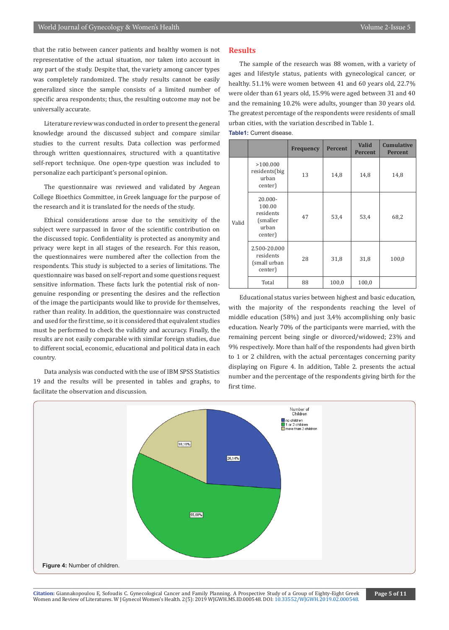that the ratio between cancer patients and healthy women is not representative of the actual situation, nor taken into account in any part of the study. Despite that, the variety among cancer types was completely randomized. The study results cannot be easily generalized since the sample consists of a limited number of specific area respondents; thus, the resulting outcome may not be universally accurate.

Literature review was conducted in order to present the general knowledge around the discussed subject and compare similar studies to the current results. Data collection was performed through written questionnaires, structured with a quantitative self-report technique. One open-type question was included to personalize each participant's personal opinion.

The questionnaire was reviewed and validated by Aegean College Bioethics Committee, in Greek language for the purpose of the research and it is translated for the needs of the study.

Ethical considerations arose due to the sensitivity of the subject were surpassed in favor of the scientific contribution on the discussed topic. Confidentiality is protected as anonymity and privacy were kept in all stages of the research. For this reason, the questionnaires were numbered after the collection from the respondents. This study is subjected to a series of limitations. The questionnaire was based on self-report and some questions request sensitive information. These facts lurk the potential risk of nongenuine responding or presenting the desires and the reflection of the image the participants would like to provide for themselves, rather than reality. In addition, the questionnaire was constructed and used for the first time, so it is considered that equivalent studies must be performed to check the validity and accuracy. Finally, the results are not easily comparable with similar foreign studies, due to different social, economic, educational and political data in each country.

Data analysis was conducted with the use of IBM SPSS Statistics 19 and the results will be presented in tables and graphs, to facilitate the observation and discussion.

#### **Results**

The sample of the research was 88 women, with a variety of ages and lifestyle status, patients with gynecological cancer, or healthy. 51.1% were women between 41 and 60 years old, 22.7% were older than 61 years old, 15.9% were aged between 31 and 40 and the remaining 10.2% were adults, younger than 30 years old. The greatest percentage of the respondents were residents of small urban cities, with the variation described in Table 1.



|       |                                                                   | <b>Frequency</b> | <b>Percent</b> | Valid<br><b>Percent</b> | <b>Cumulative</b><br><b>Percent</b> |
|-------|-------------------------------------------------------------------|------------------|----------------|-------------------------|-------------------------------------|
| Valid | >100.000<br>residents(big<br>urban<br>center)                     | 13               | 14,8           | 14,8                    | 14,8                                |
|       | $20.000 -$<br>100.00<br>residents<br>(smaller<br>urban<br>center) | 47               | 53,4           | 53,4                    | 68,2                                |
|       | 2.500-20.000<br>residents<br>(small urban<br>center)              | 28               | 31,8           | 31,8                    | 100,0                               |
|       | Total                                                             | 88               | 100,0          | 100,0                   |                                     |

Educational status varies between highest and basic education, with the majority of the respondents reaching the level of middle education (58%) and just 3,4% accomplishing only basic education. Nearly 70% of the participants were married, with the remaining percent being single or divorced/widowed; 23% and 9% respectively. More than half of the respondents had given birth to 1 or 2 children, with the actual percentages concerning parity displaying on Figure 4. In addition, Table 2. presents the actual number and the percentage of the respondents giving birth for the first time.

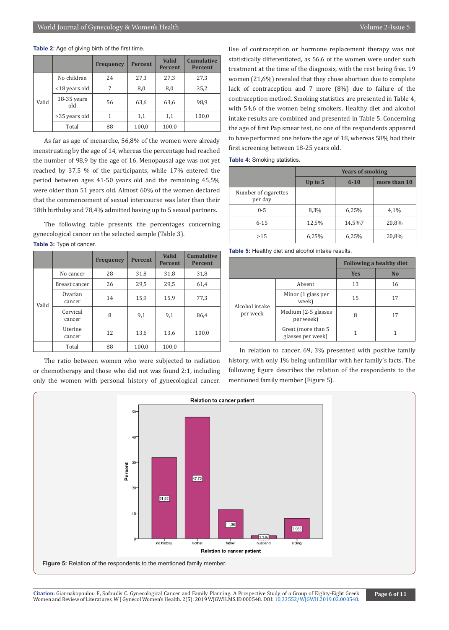#### **Table 2:** Age of giving birth of the first time.

|       |                    | <b>Frequency</b> | <b>Percent</b> | <b>Valid</b><br><b>Percent</b> | <b>Cumulative</b><br><b>Percent</b> |
|-------|--------------------|------------------|----------------|--------------------------------|-------------------------------------|
|       | No children        | 24               | 27,3           | 27,3                           | 27,3                                |
|       | <18 years old      | 7                | 8,0            | 8,0                            | 35,2                                |
| Valid | 18-35 years<br>old | 56               | 63,6           | 63,6                           | 98.9                                |
|       | >35 years old      | 1                | 1,1            | 1,1                            | 100,0                               |
|       | Total              | 88               | 100,0          | 100,0                          |                                     |

As far as age of menarche, 56,8% of the women were already menstruating by the age of 14, whereas the percentage had reached the number of 98,9 by the age of 16. Menopausal age was not yet reached by 37,5 % of the participants, while 17% entered the period between ages 41-50 years old and the remaining 45,5% were older than 51 years old. Almost 60% of the women declared that the commencement of sexual intercourse was later than their 18th birthday and 78,4% admitted having up to 5 sexual partners.

The following table presents the percentages concerning gynecological cancer on the selected sample (Table 3). **Table 3:** Type of cancer.

|       |                    | <b>Frequency</b> | <b>Percent</b> | <b>Valid</b><br><b>Percent</b> | <b>Cumulative</b><br><b>Percent</b> |
|-------|--------------------|------------------|----------------|--------------------------------|-------------------------------------|
|       | No cancer          | 28               | 31,8           | 31,8                           | 31,8                                |
|       | Breast cancer      | 26               | 29,5           | 29,5                           | 61,4                                |
| Valid | Ovarian<br>cancer  | 14               | 15,9           | 15,9                           | 77,3                                |
|       | Cervical<br>cancer | 8                | 9,1            | 9,1                            | 86,4                                |
|       | Uterine<br>cancer  | 12               | 13,6           | 13,6                           | 100,0                               |
|       | Total              | 88               | 100,0          | 100,0                          |                                     |

The ratio between women who were subjected to radiation or chemotherapy and those who did not was found 2:1, including only the women with personal history of gynecological cancer. Use of contraception or hormone replacement therapy was not statistically differentiated, as 56,6 of the women were under such treatment at the time of the diagnosis, with the rest being free. 19 women (21,6%) revealed that they chose abortion due to complete lack of contraception and 7 more (8%) due to failure of the contraception method. Smoking statistics are presented in Table 4, with 54,6 of the women being smokers. Healthy diet and alcohol intake results are combined and presented in Table 5. Concerning the age of first Pap smear test, no one of the respondents appeared to have performed one before the age of 18, whereas 58% had their first screening between 18-25 years old.

**Table 4:** Smoking statistics.

|                                 | <b>Years of smoking</b> |          |              |  |  |
|---------------------------------|-------------------------|----------|--------------|--|--|
|                                 | Up to 5                 | $6 - 10$ | more than 10 |  |  |
| Number of cigarettes<br>per day |                         |          |              |  |  |
| $0 - 5$                         | 8,3%                    | 6,25%    | 4,1%         |  |  |
| $6 - 15$                        | 12,5%                   | 14,5%7   | 20,8%        |  |  |
| >15                             | 6,25%                   | 6,25%    | 20,8%        |  |  |

**Table 5:** Healthy diet and alcohol intake results.

|                            |                                         |            | <b>Following a healthy diet</b> |  |  |
|----------------------------|-----------------------------------------|------------|---------------------------------|--|--|
|                            |                                         | <b>Yes</b> | N <sub>0</sub>                  |  |  |
| Alcohol intake<br>per week | Absent                                  | 13         | 16                              |  |  |
|                            | Minor (1 glass per<br>week)             | 15         | 17                              |  |  |
|                            | Medium (2-5 glasses<br>per week)        | 8          | 17                              |  |  |
|                            | Great (more than 5<br>glasses per week) |            |                                 |  |  |

In relation to cancer, 69, 3% presented with positive family history, with only 1% being unfamiliar with her family's facts. The following figure describes the relation of the respondents to the mentioned family member (Figure 5).

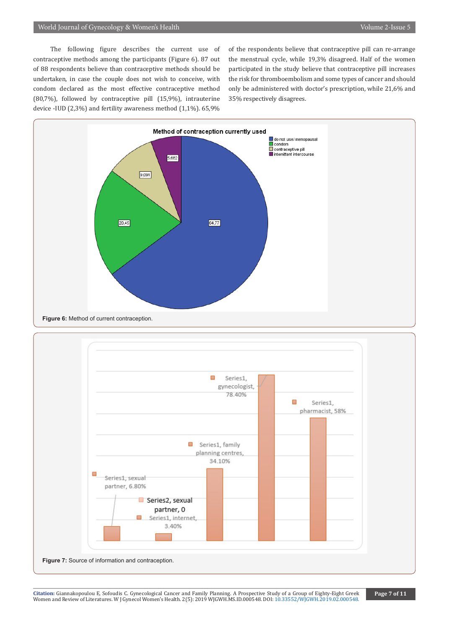The following figure describes the current use of contraceptive methods among the participants (Figure 6). 87 out of 88 respondents believe than contraceptive methods should be undertaken, in case the couple does not wish to conceive, with condom declared as the most effective contraceptive method (80,7%), followed by contraceptive pill (15,9%), intrauterine device -IUD (2,3%) and fertility awareness method (1,1%). 65,9%

of the respondents believe that contraceptive pill can re-arrange the menstrual cycle, while 19,3% disagreed. Half of the women participated in the study believe that contraceptive pill increases the risk for thromboembolism and some types of cancer and should only be administered with doctor's prescription, while 21,6% and 35% respectively disagrees.



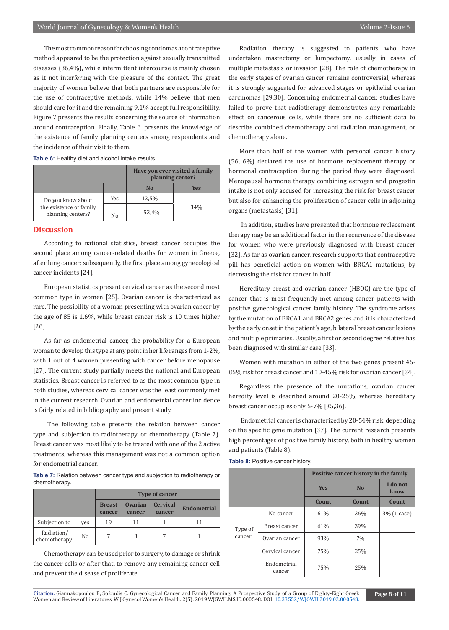The most common reason for choosing condom as a contraceptive method appeared to be the protection against sexually transmitted diseases (36,4%), while intermittent intercourse is mainly chosen as it not interfering with the pleasure of the contact. The great majority of women believe that both partners are responsible for the use of contraceptive methods, while 14% believe that men should care for it and the remaining 9,1% accept full responsibility. Figure 7 presents the results concerning the source of information around contraception. Finally, Table 6. presents the knowledge of the existence of family planning centers among respondents and the incidence of their visit to them.

**Table 6:** Healthy diet and alcohol intake results.

|                                              |     | Have you ever visited a family<br>planning center? |     |
|----------------------------------------------|-----|----------------------------------------------------|-----|
|                                              |     | N <sub>0</sub>                                     | Yes |
| Do you know about                            | Yes | 12,5%                                              |     |
| the existence of family<br>planning centers? | No  | 53.4%                                              | 34% |

## **Discussion**

According to national statistics, breast cancer occupies the second place among cancer-related deaths for women in Greece, after lung cancer; subsequently, the first place among gynecological cancer incidents [24].

European statistics present cervical cancer as the second most common type in women [25]. Ovarian cancer is characterized as rare. The possibility of a woman presenting with ovarian cancer by the age of 85 is 1.6%, while breast cancer risk is 10 times higher [26].

As far as endometrial cancer, the probability for a European woman to develop this type at any point in her life ranges from 1-2%, with 1 out of 4 women presenting with cancer before menopause [27]. The current study partially meets the national and European statistics. Breast cancer is referred to as the most common type in both studies, whereas cervical cancer was the least commonly met in the current research. Ovarian and endometrial cancer incidence is fairly related in bibliography and present study.

 The following table presents the relation between cancer type and subjection to radiotherapy or chemotherapy (Table 7). Breast cancer was most likely to be treated with one of the 2 active treatments, whereas this management was not a common option for endometrial cancer.

**Table 7:** Relation between cancer type and subjection to radiotherapy or chemotherapy.

|                            |     | <b>Type of cancer</b>   |                          |                           |                    |  |
|----------------------------|-----|-------------------------|--------------------------|---------------------------|--------------------|--|
|                            |     | <b>Breast</b><br>cancer | <b>Ovarian</b><br>cancer | <b>Cervical</b><br>cancer | <b>Endometrial</b> |  |
| Subjection to              | yes | 19                      | 11                       |                           | 11                 |  |
| Radiation/<br>chemotherapy | No  |                         | 3                        |                           |                    |  |

Chemotherapy can be used prior to surgery, to damage or shrink the cancer cells or after that, to remove any remaining cancer cell and prevent the disease of proliferate.

Radiation therapy is suggested to patients who have undertaken mastectomy or lumpectomy, usually in cases of multiple metastasis or invasion [28]. The role of chemotherapy in the early stages of ovarian cancer remains controversial, whereas it is strongly suggested for advanced stages or epithelial ovarian carcinomas [29,30]. Concerning endometrial cancer, studies have failed to prove that radiotherapy demonstrates any remarkable effect on cancerous cells, while there are no sufficient data to describe combined chemotherapy and radiation management, or chemotherapy alone.

More than half of the women with personal cancer history (56, 6%) declared the use of hormone replacement therapy or hormonal contraception during the period they were diagnosed. Menopausal hormone therapy combining estrogen and progestin intake is not only accused for increasing the risk for breast cancer but also for enhancing the proliferation of cancer cells in adjoining organs (metastasis) [31].

 In addition, studies have presented that hormone replacement therapy may be an additional factor in the recurrence of the disease for women who were previously diagnosed with breast cancer [32]. As far as ovarian cancer, research supports that contraceptive pill has beneficial action on women with BRCA1 mutations, by decreasing the risk for cancer in half.

Hereditary breast and ovarian cancer (HBOC) are the type of cancer that is most frequently met among cancer patients with positive gynecological cancer family history. The syndrome arises by the mutation of BRCA1 and BRCA2 genes and it is characterized by the early onset in the patient's age, bilateral breast cancer lesions and multiple primaries. Usually, a first or second degree relative has been diagnosed with similar case [33].

Women with mutation in either of the two genes present 45- 85% risk for breast cancer and 10-45% risk for ovarian cancer [34].

Regardless the presence of the mutations, ovarian cancer heredity level is described around 20-25%, whereas hereditary breast cancer occupies only 5-7% [35,36].

 Endometrial cancer is characterized by 20-54% risk, depending on the specific gene mutation [37]. The current research presents high percentages of positive family history, both in healthy women and patients (Table 8).

| Table 8: Positive cancer history. |
|-----------------------------------|
|-----------------------------------|

|         |                       | Positive cancer history in the family |                |                  |  |
|---------|-----------------------|---------------------------------------|----------------|------------------|--|
|         |                       | <b>Yes</b>                            | N <sub>0</sub> | I do not<br>know |  |
|         |                       | Count                                 | <b>Count</b>   | <b>Count</b>     |  |
|         | No cancer             | 61%                                   | 36%            | 3\% (1 case)     |  |
| Type of | Breast cancer         | 61%                                   | 39%            |                  |  |
| cancer  | Ovarian cancer        | 93%                                   | 7%             |                  |  |
|         | Cervical cancer       | 75%                                   | 25%            |                  |  |
|         | Endometrial<br>cancer | 75%                                   | 25%            |                  |  |

Citation: Giannakopoulou E, Sofoudis C. Gynecological Cancer and Family Planning. A Prospective St[udy of a Group of Eighty-Eight Greek](http://dx.doi.org/10.33552/WJGWH.2019.02.000548) Page 8 of 11<br>Women and Review of Literatures. W J Gynecol Women's Health. 2(5): 2019 WJ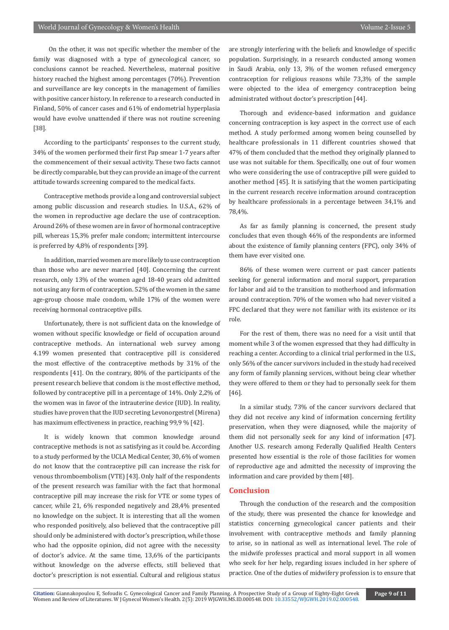On the other, it was not specific whether the member of the family was diagnosed with a type of gynecological cancer, so conclusions cannot be reached. Nevertheless, maternal positive history reached the highest among percentages (70%). Prevention and surveillance are key concepts in the management of families with positive cancer history. In reference to a research conducted in Finland, 50% of cancer cases and 61% of endometrial hyperplasia would have evolve unattended if there was not routine screening [38].

According to the participants' responses to the current study, 34% of the women performed their first Pap smear 1-7 years after the commencement of their sexual activity. These two facts cannot be directly comparable, but they can provide an image of the current attitude towards screening compared to the medical facts.

Contraceptive methods provide a long and controversial subject among public discussion and research studies. In U.S.A., 62% of the women in reproductive age declare the use of contraception. Around 26% of these women are in favor of hormonal contraceptive pill, whereas 15,3% prefer male condom; intermittent intercourse is preferred by 4,8% of respondents [39].

In addition, married women are more likely to use contraception than those who are never married [40]. Concerning the current research, only 13% of the women aged 18-40 years old admitted not using any form of contraception. 52% of the women in the same age-group choose male condom, while 17% of the women were receiving hormonal contraceptive pills.

Unfortunately, there is not sufficient data on the knowledge of women without specific knowledge or field of occupation around contraceptive methods. An international web survey among 4.199 women presented that contraceptive pill is considered the most effective of the contraceptive methods by 31% of the respondents [41]. On the contrary, 80% of the participants of the present research believe that condom is the most effective method, followed by contraceptive pill in a percentage of 14%. Only 2,2% of the women was in favor of the intrauterine device (IUD). In reality, studies have proven that the IUD secreting Levonorgestrel (Mirena) has maximum effectiveness in practice, reaching 99,9 % [42].

It is widely known that common knowledge around contraceptive methods is not as satisfying as it could be. According to a study performed by the UCLA Medical Center, 30, 6% of women do not know that the contraceptive pill can increase the risk for venous thromboembolism (VTE) [43]. Only half of the respondents of the present research was familiar with the fact that hormonal contraceptive pill may increase the risk for VTE or some types of cancer, while 21, 6% responded negatively and 28,4% presented no knowledge on the subject. It is interesting that all the women who responded positively, also believed that the contraceptive pill should only be administered with doctor's prescription, while those who had the opposite opinion, did not agree with the necessity of doctor's advice. At the same time, 13,6% of the participants without knowledge on the adverse effects, still believed that doctor's prescription is not essential. Cultural and religious status are strongly interfering with the beliefs and knowledge of specific population. Surprisingly, in a research conducted among women in Saudi Arabia, only 13, 3% of the women refused emergency contraception for religious reasons while 73,3% of the sample were objected to the idea of emergency contraception being administrated without doctor's prescription [44].

Thorough and evidence-based information and guidance concerning contraception is key aspect in the correct use of each method. A study performed among women being counselled by healthcare professionals in 11 different countries showed that 47% of them concluded that the method they originally planned to use was not suitable for them. Specifically, one out of four women who were considering the use of contraceptive pill were guided to another method [45]. It is satisfying that the women participating in the current research receive information around contraception by healthcare professionals in a percentage between 34,1% and 78,4%.

As far as family planning is concerned, the present study concludes that even though 46% of the respondents are informed about the existence of family planning centers (FPC), only 34% of them have ever visited one.

86% of these women were current or past cancer patients seeking for general information and moral support, preparation for labor and aid to the transition to motherhood and information around contraception. 70% of the women who had never visited a FPC declared that they were not familiar with its existence or its role.

For the rest of them, there was no need for a visit until that moment while 3 of the women expressed that they had difficulty in reaching a center. According to a clinical trial performed in the U.S., only 56% of the cancer survivors included in the study had received any form of family planning services, without being clear whether they were offered to them or they had to personally seek for them [46].

In a similar study, 73% of the cancer survivors declared that they did not receive any kind of information concerning fertility preservation, when they were diagnosed, while the majority of them did not personally seek for any kind of information [47]. Another U.S. research among Federally Qualified Health Centers presented how essential is the role of those facilities for women of reproductive age and admitted the necessity of improving the information and care provided by them [48].

# **Conclusion**

Through the conduction of the research and the composition of the study, there was presented the chance for knowledge and statistics concerning gynecological cancer patients and their involvement with contraceptive methods and family planning to arise, so in national as well as international level. The role of the midwife professes practical and moral support in all women who seek for her help, regarding issues included in her sphere of practice. One of the duties of midwifery profession is to ensure that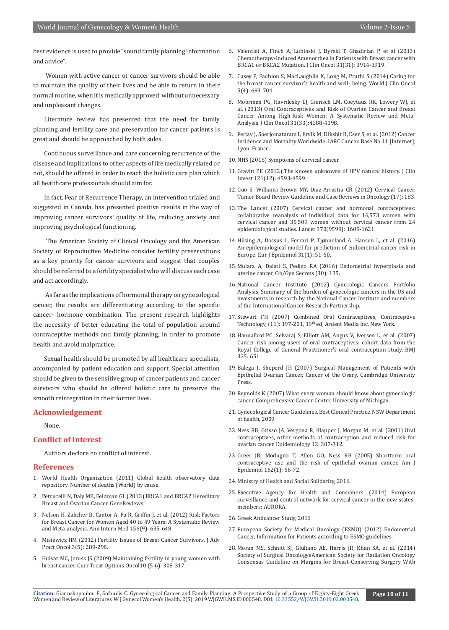best evidence is used to provide "sound family planning information and advice".

 Women with active cancer or cancer survivors should be able to maintain the quality of their lives and be able to return in their normal routine, when it is medically approved, without unnecessary and unpleasant changes.

Literature review has presented that the need for family planning and fertility care and preservation for cancer patients is great and should be approached by both sides.

Continuous surveillance and care concerning recurrence of the disease and implications to other aspects of life medically related or not, should be offered in order to reach the holistic care plan which all healthcare professionals should aim for.

In fact, Fear of Recurrence Therapy, an intervention trialed and suggested in Canada, has presented positive results in the way of improving cancer survivors' quality of life, reducing anxiety and improving psychological functioning.

 The American Society of Clinical Oncology and the American Society of Reproductive Medicine consider fertility preservations as a key priority for cancer survivors and suggest that couples should be referred to a fertility specialist who will discuss each case and act accordingly.

 As far as the implications of hormonal therapy on gynecological cancer, the results are differentiating according to the specific cancer- hormone combination. The present research highlights the necessity of better educating the total of population around contraceptive methods and family planning, in order to promote health and avoid malpractice.

Sexual health should be promoted by all healthcare specialists, accompanied by patient education and support. Special attention should be given to the sensitive group of cancer patients and cancer survivors who should be offered holistic care to preserve the smooth reintegration in their former lives.

#### **Acknowledgement**

None.

#### **Conflict of Interest**

Authors declare no conflict of interest.

#### **References**

- 1. World Health Organization (2011) Global health observatory data repository. Number of deaths (World) by cause.
- 2. Petrucelli N, Daly MB, Feldman GL (2013) BRCA1 and BRCA2 Hereditary Breast and Ovarian Cancer. GeneReviews,
- 3. [Nelson H, Zakcher B, Cantor A, Fu R, Griffin J, et al. \(2012\) Risk Factors](https://www.ncbi.nlm.nih.gov/pubmed/22547473) [for Breast Cancer for Women Aged 40 to 49 Years: A Systematic Review](https://www.ncbi.nlm.nih.gov/pubmed/22547473) [and Meta-analysis. Ann Intern Med 156\(9\): 635-648.](https://www.ncbi.nlm.nih.gov/pubmed/22547473)
- 4. Misiewicz HM (2012) Fertility Issues of Breast Cancer Survivors. J Adv Pract Oncol 3(5): 289-298.
- 5. [Hulvat MC, Jeruss JS \(2009\) Maintaining fertility in young women with](https://www.ncbi.nlm.nih.gov/pubmed/20238254) [breast cancer. Curr Treat Options Oncol10 \(5-6\): 308-317](https://www.ncbi.nlm.nih.gov/pubmed/20238254).
- 6. [Valentini A, Finch A, Lubinski J, Byrski T, Ghadirian P, et al \(2013\)](https://www.ncbi.nlm.nih.gov/pubmed/23980083)  [Chemotherapy-Induced Amenorrhea in Patients with Breast cancer with](https://www.ncbi.nlm.nih.gov/pubmed/23980083)  [BRCA1 or BRCA2 Mutation. J Clin Oncol 31\(31\): 3914-3919.](https://www.ncbi.nlm.nih.gov/pubmed/23980083)
- 7. Casey P, Faubion S, MacLaughlin K, Long M, Pruthi S (2014) Caring for the breast cancer survivor's health and well- being. World J Clin Oncol 5(4): 693-704.
- 8. [Moorman PG, Havrilesky LJ, Gierisch LM, Coeytaux RR, Lowery WJ, et](https://www.ncbi.nlm.nih.gov/pubmed/24145348)  [al. \(2013\) Oral Contraceptives and Risk of Ovarian Cancer and Breast](https://www.ncbi.nlm.nih.gov/pubmed/24145348)  [Cancer Among High-Risk Women: A Systematic Review and Meta-](https://www.ncbi.nlm.nih.gov/pubmed/24145348)[Analysis. J Clin Oncol 31\(33\):4188-4198.](https://www.ncbi.nlm.nih.gov/pubmed/24145348)
- 9. Ferlay J, Soerjomataram I, Ervik M, Dikshit R, Eser S, et al. (2012) Cancer Incidence and Mortality Worldwide: IARC Cancer. Base No 11 [Internet], Lyon, France.
- 10. NHS (2015) Symptoms of cervical cancer.
- 11. [Gravitt PE \(2012\) The known unknowns of HPV natural history. J Clin](https://www.ncbi.nlm.nih.gov/pubmed/22133884)  [Invest 121\(12\): 4593-4599.](https://www.ncbi.nlm.nih.gov/pubmed/22133884)
- 12. Guo S, Williams-Brown MY, Diaz-Arrastia CR (2012) Cervical Cancer, Tumor Board Review Guideline and Case Reviews in Oncology (17): 183.
- 13. [The Lancet \(2007\) Cervical cancer and hormonal contraceptives:](https://www.ncbi.nlm.nih.gov/pubmed/17993361)  [collaborative reanalysis of individual data for 16,573 women with](https://www.ncbi.nlm.nih.gov/pubmed/17993361)  [cervical cancer and 35 509 women without cervical cancer from 24](https://www.ncbi.nlm.nih.gov/pubmed/17993361)  [epidemiological studies. Lancet 370\(9599\): 1609-1621.](https://www.ncbi.nlm.nih.gov/pubmed/17993361)
- 14. [Hüsing A, Dossus L, Ferrari P, Tjønneland A, Hansen L, et al. \(2016\)](https://www.ncbi.nlm.nih.gov/pubmed/25968175)  [An epidemiological model for prediction of endometrial cancer risk in](https://www.ncbi.nlm.nih.gov/pubmed/25968175)  [Europe. Eur J Epidemiol 31\(1\): 51-60.](https://www.ncbi.nlm.nih.gov/pubmed/25968175)
- 15. Mularz A, Dalati S, Pedigo RA (2016) Endometrial hyperplasia and uterine cancer, Ob/Gyn Secrets (30): 135.
- 16. National Cancer Institute (2012) Gynecologic Cancers Portfolio Analysis, Summary of the burden of gynecologic cancers in the US and investments in research by the National Cancer Institute and members of the International Cancer Research Partnership.
- 17. Stewart FH (2007) Combined Oral Contraceptives, Contraceptive Technology, (11): 197-201, 19th ed, Ardent Media Inc, New York.
- 18. [Hannaford PC, Selvaraj S, Elliott AM, Angus V, Iversen L, et al. \(2007\)](https://www.bmj.com/content/335/7621/651)  [Cancer risk among users of oral contraceptives: cohort data from the](https://www.bmj.com/content/335/7621/651)  [Royal College of General Practitioner's oral contraception study, BMJ](https://www.bmj.com/content/335/7621/651)  [335: 651.](https://www.bmj.com/content/335/7621/651)
- 19. Balega J, Sheperd JH (2007) Surgical Management of Patients with Epithelial Ovarian Cancer, Cancer of the Ovary, Cambridge University Press.
- 20. Reynolds K (2007) What every woman should know about gynecologic cancer, Comprehensive Cancer Center, University of Michigan.
- 21. Gynecological Cancer Guidelines, Best Clinical Practice. NSW Department of health, 2009
- 22. [Ness RB, Grisso JA, Vergona R, Klapper J, Morgan M, et al. \(2001\) Oral](https://www.ncbi.nlm.nih.gov/pubmed/11337604)  [contraceptives, other methods of contraception and reduced risk for](https://www.ncbi.nlm.nih.gov/pubmed/11337604)  [ovarian cancer. Epidemiology 12: 307-312.](https://www.ncbi.nlm.nih.gov/pubmed/11337604)
- 23. [Greer JB, Modugno T, Allen GO, Ness RB \(2005\) Shortterm oral](https://www.ncbi.nlm.nih.gov/pubmed/15961588)  [contraceptive use and the risk of epithelial ovarian cancer. Am J](https://www.ncbi.nlm.nih.gov/pubmed/15961588)  [Epidemiol 162\(1\): 66-72.](https://www.ncbi.nlm.nih.gov/pubmed/15961588)
- 24. Ministry of Health and Social Solidarity, 2016.
- 25. Executive Agency for Health and Consumers. (2014) European surveillance and control network for cervical cancer in the new statesmembers; AURORA.
- 26. Greek Anticancer Study, 2016
- 27. European Society for Medical Oncology (ESMO) (2012) Endometrial Cancer, Information for Patients according to ESMO guidelines.
- 28. [Moran MS, Schnitt SJ, Giuliano AE, Harris JR, Khan SA, et al. \(2014\)](https://www.ncbi.nlm.nih.gov/pubmed/24521674)  [Society of Surgical OncologyeAmerican Society for Radiation Oncology](https://www.ncbi.nlm.nih.gov/pubmed/24521674)  [Consensus Guideline on Margins for Breast-Conserving Surgery With](https://www.ncbi.nlm.nih.gov/pubmed/24521674)